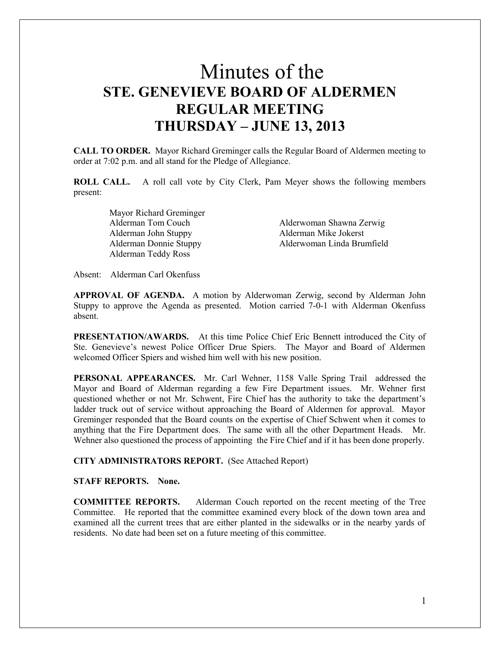# Minutes of the **STE. GENEVIEVE BOARD OF ALDERMEN REGULAR MEETING THURSDAY – JUNE 13, 2013**

**CALL TO ORDER.** Mayor Richard Greminger calls the Regular Board of Aldermen meeting to order at 7:02 p.m. and all stand for the Pledge of Allegiance.

**ROLL CALL.** A roll call vote by City Clerk, Pam Meyer shows the following members present:

> Mayor Richard Greminger Alderman John Stuppy Alderman Mike Jokerst Alderman Teddy Ross

 Alderman Tom Couch Alderwoman Shawna Zerwig Alderman Donnie Stuppy Alderwoman Linda Brumfield

Absent: Alderman Carl Okenfuss

**APPROVAL OF AGENDA.** A motion by Alderwoman Zerwig, second by Alderman John Stuppy to approve the Agenda as presented. Motion carried 7-0-1 with Alderman Okenfuss absent.

**PRESENTATION/AWARDS.** At this time Police Chief Eric Bennett introduced the City of Ste. Genevieve's newest Police Officer Drue Spiers. The Mayor and Board of Aldermen welcomed Officer Spiers and wished him well with his new position.

**PERSONAL APPEARANCES.** Mr. Carl Wehner, 1158 Valle Spring Trail addressed the Mayor and Board of Alderman regarding a few Fire Department issues. Mr. Wehner first questioned whether or not Mr. Schwent, Fire Chief has the authority to take the department's ladder truck out of service without approaching the Board of Aldermen for approval. Mayor Greminger responded that the Board counts on the expertise of Chief Schwent when it comes to anything that the Fire Department does. The same with all the other Department Heads. Mr. Wehner also questioned the process of appointing the Fire Chief and if it has been done properly.

**CITY ADMINISTRATORS REPORT.** (See Attached Report)

## **STAFF REPORTS. None.**

**COMMITTEE REPORTS.** Alderman Couch reported on the recent meeting of the Tree Committee. He reported that the committee examined every block of the down town area and examined all the current trees that are either planted in the sidewalks or in the nearby yards of residents. No date had been set on a future meeting of this committee.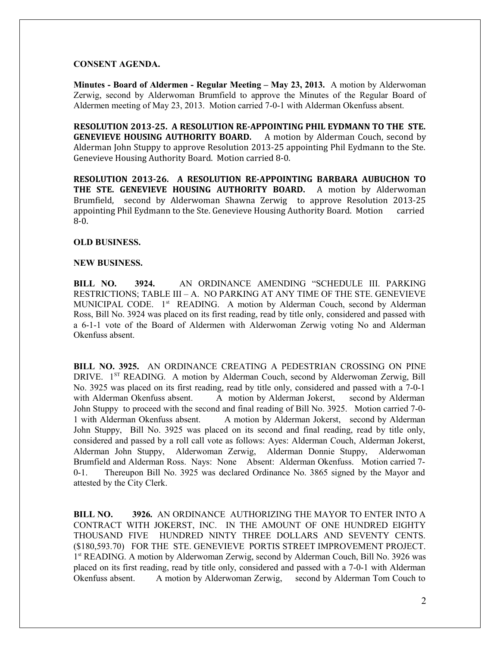## **CONSENT AGENDA.**

**Minutes - Board of Aldermen - Regular Meeting – May 23, 2013.** A motion by Alderwoman Zerwig, second by Alderwoman Brumfield to approve the Minutes of the Regular Board of Aldermen meeting of May 23, 2013. Motion carried 7-0-1 with Alderman Okenfuss absent.

**RESOLUTION 2013-25. A RESOLUTION RE-APPOINTING PHIL EYDMANN TO THE STE. GENEVIEVE HOUSING AUTHORITY BOARD.** A motion by Alderman Couch, second by Alderman John Stuppy to approve Resolution 2013-25 appointing Phil Eydmann to the Ste. Genevieve Housing Authority Board. Motion carried 8-0.

**RESOLUTION 2013-26. A RESOLUTION RE-APPOINTING BARBARA AUBUCHON TO THE STE. GENEVIEVE HOUSING AUTHORITY BOARD.** A motion by Alderwoman Brumfield, second by Alderwoman Shawna Zerwig to approve Resolution 2013-25 appointing Phil Eydmann to the Ste. Genevieve Housing Authority Board. Motion carried 8-0.

# **OLD BUSINESS.**

#### **NEW BUSINESS.**

**BILL NO. 3924.** AN ORDINANCE AMENDING "SCHEDULE III. PARKING RESTRICTIONS; TABLE III – A. NO PARKING AT ANY TIME OF THE STE. GENEVIEVE MUNICIPAL CODE. 1<sup>st</sup> READING. A motion by Alderman Couch, second by Alderman Ross, Bill No. 3924 was placed on its first reading, read by title only, considered and passed with a 6-1-1 vote of the Board of Aldermen with Alderwoman Zerwig voting No and Alderman Okenfuss absent.

**BILL NO. 3925.** AN ORDINANCE CREATING A PEDESTRIAN CROSSING ON PINE DRIVE. 1<sup>ST</sup> READING. A motion by Alderman Couch, second by Alderwoman Zerwig, Bill No. 3925 was placed on its first reading, read by title only, considered and passed with a 7-0-1 with Alderman Okenfuss absent. A motion by Alderman Jokerst, second by Alderman John Stuppy to proceed with the second and final reading of Bill No. 3925. Motion carried 7-0- 1 with Alderman Okenfuss absent. A motion by Alderman Jokerst, second by Alderman John Stuppy, Bill No. 3925 was placed on its second and final reading, read by title only, considered and passed by a roll call vote as follows: Ayes: Alderman Couch, Alderman Jokerst, Alderman John Stuppy, Alderwoman Zerwig, Alderman Donnie Stuppy, Alderwoman Brumfield and Alderman Ross. Nays: None Absent: Alderman Okenfuss. Motion carried 7- 0-1. Thereupon Bill No. 3925 was declared Ordinance No. 3865 signed by the Mayor and attested by the City Clerk.

**BILL NO. 3926.** AN ORDINANCE AUTHORIZING THE MAYOR TO ENTER INTO A CONTRACT WITH JOKERST, INC. IN THE AMOUNT OF ONE HUNDRED EIGHTY THOUSAND FIVE HUNDRED NINTY THREE DOLLARS AND SEVENTY CENTS. (\$180,593.70) FOR THE STE. GENEVIEVE PORTIS STREET IMPROVEMENT PROJECT. 1<sup>st</sup> READING. A motion by Alderwoman Zerwig, second by Alderman Couch, Bill No. 3926 was placed on its first reading, read by title only, considered and passed with a 7-0-1 with Alderman Okenfuss absent. A motion by Alderwoman Zerwig, second by Alderman Tom Couch to